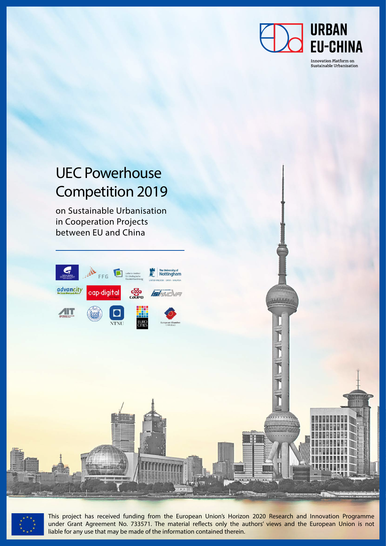

14444

## **URBAN EU-CHINA**

Innovation Platform on Sustainable Urbanisation

## UEC Powerhouse Competition 2019

on Sustainable Urbanisation in Cooperation Projects between EU and China





This project has received funding from the European Union's Horizon 2020 Research and Innovation Programme under Grant Agreement No. 733571. The material reflects only the authors' views and the European Union is not liable for any use that may be made of the information contained therein.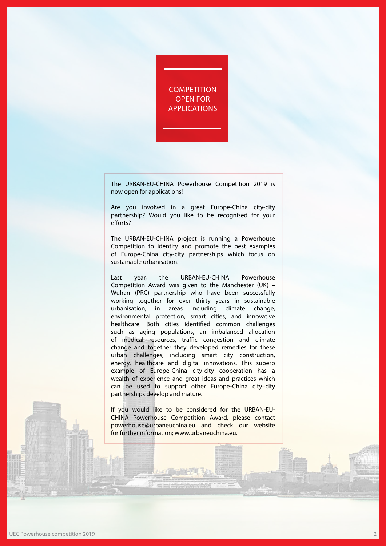**COMPETITION** OPEN FOR APPLICATIONS

The URBAN-EU-CHINA Powerhouse Competition 2019 is now open for applications!

Are you involved in a great Europe-China city-city partnership? Would you like to be recognised for your efforts?

The URBAN-EU-CHINA project is running a Powerhouse Competition to identify and promote the best examples of Europe-China city-city partnerships which focus on sustainable urbanisation.

Last year, the URBAN-EU-CHINA Powerhouse Competition Award was given to the Manchester (UK) – Wuhan (PRC) partnership who have been successfully working together for over thirty years in sustainable urbanisation, in areas including climate change, environmental protection, smart cities, and innovative healthcare. Both cities identified common challenges such as aging populations, an imbalanced allocation of medical resources, traffic congestion and climate change and together they developed remedies for these urban challenges, including smart city construction, energy, healthcare and digital innovations. This superb example of Europe-China city-city cooperation has a wealth of experience and great ideas and practices which can be used to support other Europe-China city–city partnerships develop and mature.

If you would like to be considered for the URBAN-EU-CHINA Powerhouse Competition Award, please contact powerhouse@urbaneuchina.eu and check our website for further information; www.urbaneuchina.eu.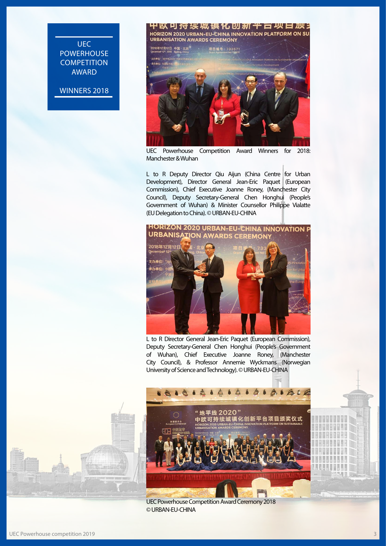UEC **POWERHOUSE COMPETITION** AWARD

WINNERS 2018



UEC Powerhouse Competition Award Winners for 2018: Manchester & Wuhan

L to R Deputy Director Qiu Aijun (China Centre for Urban Development), Director General Jean-Eric Paquet (European Commission), Chief Executive Joanne Roney, (Manchester City Council), Deputy Secretary-General Chen Honghui (People's Government of Wuhan) & Minister Counsellor Philippe Vialatte (EU Delegation to China). © URBAN-EU-CHINA



L to R Director General Jean-Eric Paquet (European Commission), Deputy Secretary-General Chen Honghui (People's Government of Wuhan), Chief Executive Joanne Roney, (Manchester City Council), & Professor Annemie Wyckmans (Norwegian University of Science and Technology). © URBAN-EU-CHINA



UEC Powerhouse Competition Award Ceremony 2018 © URBAN-EU-CHINA

ä **AUSTRIA**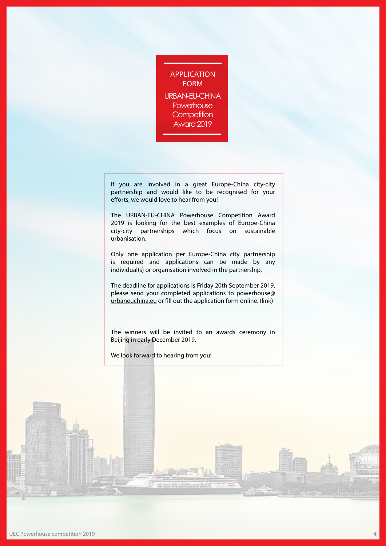APPLICATION FORM URBAN-EU-CHINA **Powerhouse Competition** Award 2019

If you are involved in a great Europe-China city-city partnership and would like to be recognised for your efforts, we would love to hear from you!

The URBAN-EU-CHINA Powerhouse Competition Award 2019 is looking for the best examples of Europe-China city-city partnerships which focus on sustainable urbanisation.

Only one application per Europe-China city partnership is required and applications can be made by any individual(s) or organisation involved in the partnership.

The deadline for applications is Friday 20th September 2019, please send your completed applications to powerhouse@ urbaneuchina.eu or fill out the application form online. (link)

The winners will be invited to an awards ceremony in Beijing in early December 2019.

We look forward to hearing from you!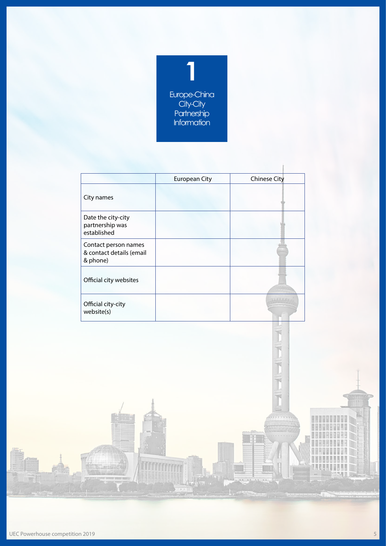

|                                                              | <b>European City</b> | <b>Chinese City</b> |
|--------------------------------------------------------------|----------------------|---------------------|
| City names                                                   |                      |                     |
| Date the city-city<br>partnership was<br>established         |                      |                     |
| Contact person names<br>& contact details (email<br>& phone) |                      |                     |
| Official city websites                                       |                      |                     |
| Official city-city<br>website(s)                             |                      | AAAAAA              |

. . . . . .

**UNHANNAHA**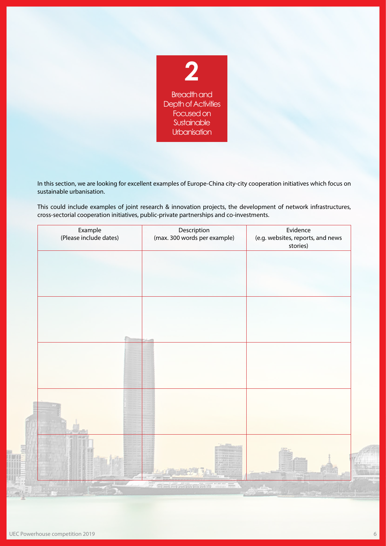

In this section, we are looking for excellent examples of Europe-China city-city cooperation initiatives which focus on sustainable urbanisation.

This could include examples of joint research & innovation projects, the development of network infrastructures, cross-sectorial cooperation initiatives, public-private partnerships and co-investments.

| Example<br>(Please include dates) | Description<br>(max. 300 words per example) | Evidence<br>(e.g. websites, reports, and news<br>stories) |
|-----------------------------------|---------------------------------------------|-----------------------------------------------------------|
|                                   |                                             |                                                           |
|                                   |                                             |                                                           |
|                                   |                                             |                                                           |
|                                   |                                             |                                                           |
|                                   |                                             |                                                           |
|                                   |                                             |                                                           |
|                                   |                                             |                                                           |
| 33.50                             |                                             |                                                           |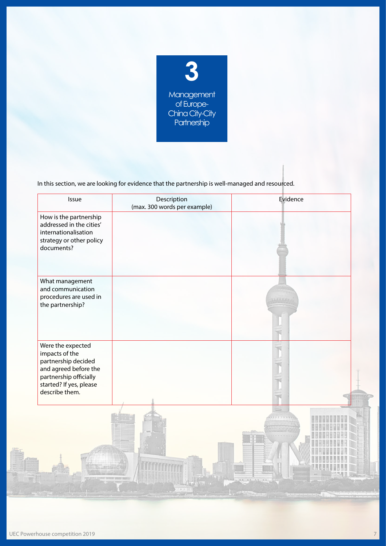

In this section, we are looking for evidence that the partnership is well-managed and resourced.

| Issue                                                                                                                                                      | Description<br>(max. 300 words per example) | Evidence |
|------------------------------------------------------------------------------------------------------------------------------------------------------------|---------------------------------------------|----------|
| How is the partnership<br>addressed in the cities'<br>internationalisation<br>strategy or other policy<br>documents?                                       |                                             |          |
| What management<br>and communication<br>procedures are used in<br>the partnership?                                                                         |                                             | AAAAA    |
| Were the expected<br>impacts of the<br>partnership decided<br>and agreed before the<br>partnership officially<br>started? If yes, please<br>describe them. |                                             |          |
|                                                                                                                                                            |                                             |          |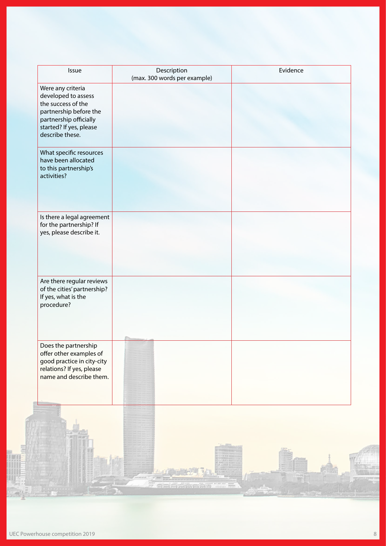| Issue                                                                                                                                                            | Description<br>(max. 300 words per example)                          | Evidence |  |
|------------------------------------------------------------------------------------------------------------------------------------------------------------------|----------------------------------------------------------------------|----------|--|
| Were any criteria<br>developed to assess<br>the success of the<br>partnership before the<br>partnership officially<br>started? If yes, please<br>describe these. |                                                                      |          |  |
| What specific resources<br>have been allocated<br>to this partnership's<br>activities?                                                                           |                                                                      |          |  |
| Is there a legal agreement<br>for the partnership? If<br>yes, please describe it.                                                                                |                                                                      |          |  |
| Are there regular reviews<br>of the cities' partnership?<br>If yes, what is the<br>procedure?                                                                    |                                                                      |          |  |
| Does the partnership<br>offer other examples of<br>good practice in city-city<br>relations? If yes, please<br>name and describe them.                            |                                                                      |          |  |
|                                                                                                                                                                  | $\begin{array}{c} 0.0884 \\ 0.089 \\ \end{array}$<br>del differentis |          |  |